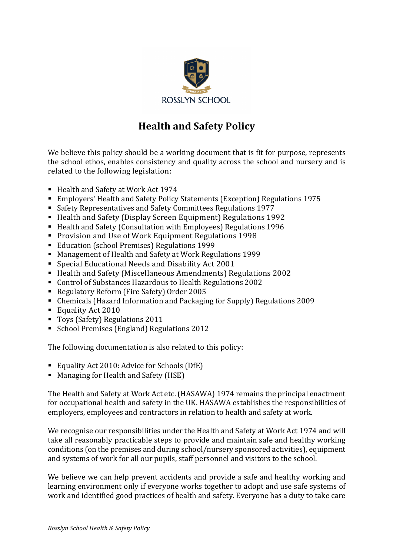

# **Health and Safety Policy**

We believe this policy should be a working document that is fit for purpose, represents the school ethos, enables consistency and quality across the school and nursery and is related to the following legislation:

- Health and Safety at Work Act 1974
- Employers' Health and Safety Policy Statements (Exception) Regulations 1975
- Safety Representatives and Safety Committees Regulations 1977
- Health and Safety (Display Screen Equipment) Regulations 1992
- Health and Safety (Consultation with Employees) Regulations 1996
- Provision and Use of Work Equipment Regulations 1998
- Education (school Premises) Regulations 1999
- Management of Health and Safety at Work Regulations 1999
- Special Educational Needs and Disability Act 2001
- Health and Safety (Miscellaneous Amendments) Regulations 2002
- Control of Substances Hazardous to Health Regulations 2002
- Regulatory Reform (Fire Safety) Order 2005
- Chemicals (Hazard Information and Packaging for Supply) Regulations 2009
- Equality Act 2010
- Toys (Safety) Regulations 2011
- School Premises (England) Regulations 2012

The following documentation is also related to this policy:

- Equality Act 2010: Advice for Schools (DfE)
- Managing for Health and Safety (HSE)

The Health and Safety at Work Act etc. (HASAWA) 1974 remains the principal enactment for occupational health and safety in the UK. HASAWA establishes the responsibilities of employers, employees and contractors in relation to health and safety at work.

We recognise our responsibilities under the Health and Safety at Work Act 1974 and will take all reasonably practicable steps to provide and maintain safe and healthy working conditions (on the premises and during school/nursery sponsored activities), equipment and systems of work for all our pupils, staff personnel and visitors to the school.

We believe we can help prevent accidents and provide a safe and healthy working and learning environment only if everyone works together to adopt and use safe systems of work and identified good practices of health and safety. Everyone has a duty to take care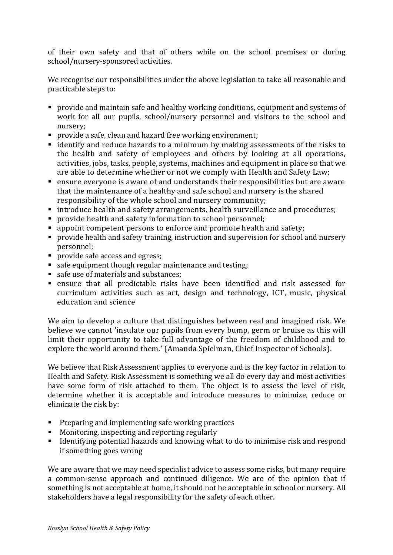of their own safety and that of others while on the school premises or during school/nursery-sponsored activities.

We recognise our responsibilities under the above legislation to take all reasonable and practicable steps to:

- **•** provide and maintain safe and healthy working conditions, equipment and systems of work for all our pupils, school/nursery personnel and visitors to the school and nursery;
- provide a safe, clean and hazard free working environment;
- identify and reduce hazards to a minimum by making assessments of the risks to the health and safety of employees and others by looking at all operations, activities, jobs, tasks, people, systems, machines and equipment in place so that we are able to determine whether or not we comply with Health and Safety Law;
- $\blacksquare$  ensure everyone is aware of and understands their responsibilities but are aware that the maintenance of a healthy and safe school and nursery is the shared responsibility of the whole school and nursery community;
- introduce health and safety arrangements, health surveillance and procedures;
- provide health and safety information to school personnel;
- appoint competent persons to enforce and promote health and safety;
- provide health and safety training, instruction and supervision for school and nursery personnel;
- **•** provide safe access and egress;
- safe equipment though regular maintenance and testing;
- safe use of materials and substances;
- ensure that all predictable risks have been identified and risk assessed for curriculum activities such as art, design and technology, ICT, music, physical education and science

We aim to develop a culture that distinguishes between real and imagined risk. We believe we cannot 'insulate our pupils from every bump, germ or bruise as this will limit their opportunity to take full advantage of the freedom of childhood and to explore the world around them.' (Amanda Spielman, Chief Inspector of Schools).

We believe that Risk Assessment applies to everyone and is the key factor in relation to Health and Safety. Risk Assessment is something we all do every day and most activities have some form of risk attached to them. The object is to assess the level of risk, determine whether it is acceptable and introduce measures to minimize, reduce or eliminate the risk by:

- $\blacksquare$  Preparing and implementing safe working practices
- Monitoring, inspecting and reporting regularly
- Identifying potential hazards and knowing what to do to minimise risk and respond if something goes wrong

We are aware that we may need specialist advice to assess some risks, but many require a common-sense approach and continued diligence. We are of the opinion that if something is not acceptable at home, it should not be acceptable in school or nursery. All stakeholders have a legal responsibility for the safety of each other.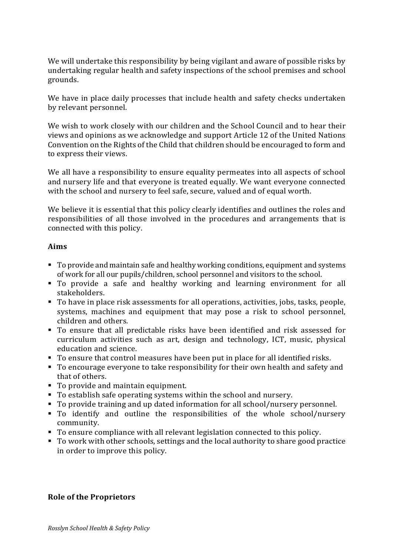We will undertake this responsibility by being vigilant and aware of possible risks by undertaking regular health and safety inspections of the school premises and school grounds.

We have in place daily processes that include health and safety checks undertaken by relevant personnel.

We wish to work closely with our children and the School Council and to hear their views and opinions as we acknowledge and support Article 12 of the United Nations Convention on the Rights of the Child that children should be encouraged to form and to express their views.

We all have a responsibility to ensure equality permeates into all aspects of school and nursery life and that everyone is treated equally. We want everyone connected with the school and nursery to feel safe, secure, valued and of equal worth.

We believe it is essential that this policy clearly identifies and outlines the roles and responsibilities of all those involved in the procedures and arrangements that is connected with this policy.

## **Aims**

- To provide and maintain safe and healthy working conditions, equipment and systems of work for all our pupils/children, school personnel and visitors to the school.
- To provide a safe and healthy working and learning environment for all stakeholders.
- To have in place risk assessments for all operations, activities, jobs, tasks, people, systems, machines and equipment that may pose a risk to school personnel, children and others.
- To ensure that all predictable risks have been identified and risk assessed for curriculum activities such as art, design and technology, ICT, music, physical education and science.
- To ensure that control measures have been put in place for all identified risks.
- To encourage everyone to take responsibility for their own health and safety and that of others.
- To provide and maintain equipment.
- To establish safe operating systems within the school and nursery.
- To provide training and up dated information for all school/nursery personnel.
- To identify and outline the responsibilities of the whole school/nursery community.
- To ensure compliance with all relevant legislation connected to this policy.
- To work with other schools, settings and the local authority to share good practice in order to improve this policy.

#### **Role of the Proprietors**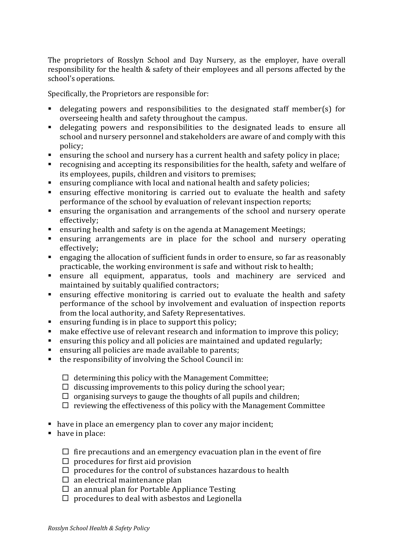The proprietors of Rosslyn School and Day Nursery, as the employer, have overall responsibility for the health & safety of their employees and all persons affected by the school's operations.

Specifically, the Proprietors are responsible for:

- delegating powers and responsibilities to the designated staff member(s) for overseeing health and safety throughout the campus.
- delegating powers and responsibilities to the designated leads to ensure all school and nursery personnel and stakeholders are aware of and comply with this policy;
- **•** ensuring the school and nursery has a current health and safety policy in place;
- $\blacksquare$  recognising and accepting its responsibilities for the health, safety and welfare of its employees, pupils, children and visitors to premises;
- ensuring compliance with local and national health and safety policies;
- ensuring effective monitoring is carried out to evaluate the health and safety performance of the school by evaluation of relevant inspection reports;
- **•** ensuring the organisation and arrangements of the school and nursery operate effectively;
- **EXEDENT** ensuring health and safety is on the agenda at Management Meetings;
- ensuring arrangements are in place for the school and nursery operating effectively;
- **•** engaging the allocation of sufficient funds in order to ensure, so far as reasonably practicable, the working environment is safe and without risk to health;
- ensure all equipment, apparatus, tools and machinery are serviced and maintained by suitably qualified contractors;
- ensuring effective monitoring is carried out to evaluate the health and safety performance of the school by involvement and evaluation of inspection reports from the local authority, and Safety Representatives.
- $\blacksquare$  ensuring funding is in place to support this policy;
- **EXECT** make effective use of relevant research and information to improve this policy;
- **ensuring this policy and all policies are maintained and updated regularly;**
- ensuring all policies are made available to parents;
- $\blacksquare$  the responsibility of involving the School Council in:
	- $\Box$  determining this policy with the Management Committee;
	- $\Box$  discussing improvements to this policy during the school year;
	- $\Box$  organising surveys to gauge the thoughts of all pupils and children;
	- $\Box$  reviewing the effectiveness of this policy with the Management Committee
- have in place an emergency plan to cover any major incident;
- have in place:
	- $\Box$  fire precautions and an emergency evacuation plan in the event of fire
	- $\square$  procedures for first aid provision
	- $\square$  procedures for the control of substances hazardous to health
	- $\square$  an electrical maintenance plan
	- $\square$  an annual plan for Portable Appliance Testing
	- $\Box$  procedures to deal with asbestos and Legionella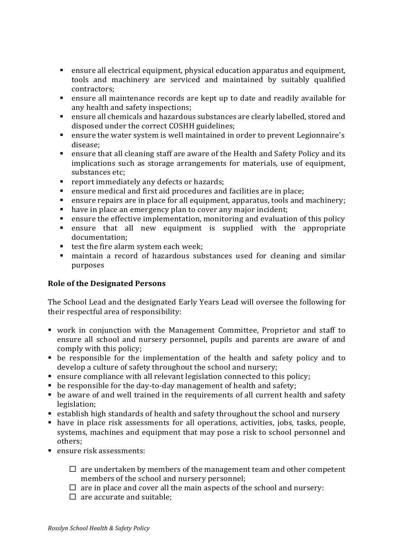- **•** ensure all electrical equipment, physical education apparatus and equipment, tools and machinery are serviced and maintained by suitably qualified contractors;
- ensure all maintenance records are kept up to date and readily available for any health and safety inspections;
- ensure all chemicals and hazardous substances are clearly labelled, stored and disposed under the correct COSHH guidelines;
- **•** ensure the water system is well maintained in order to prevent Legionnaire's disease;
- **ensure that all cleaning staff are aware of the Health and Safety Policy and its** implications such as storage arrangements for materials, use of equipment, substances etc:
- report immediately any defects or hazards;
- ensure medical and first aid procedures and facilities are in place;
- ensure repairs are in place for all equipment, apparatus, tools and machinery;
- have in place an emergency plan to cover any major incident;
- ensure the effective implementation, monitoring and evaluation of this policy
- ensure that all new equipment is supplied with the appropriate documentation;
- test the fire alarm system each week;
- maintain a record of hazardous substances used for cleaning and similar purposes

# **Role of the Designated Persons**

The School Lead and the designated Early Years Lead will oversee the following for their respectful area of responsibility:

- work in conjunction with the Management Committee, Proprietor and staff to ensure all school and nursery personnel, pupils and parents are aware of and comply with this policy;
- $\bullet$  be responsible for the implementation of the health and safety policy and to develop a culture of safety throughout the school and nursery;
- $\blacksquare$  ensure compliance with all relevant legislation connected to this policy;
- be responsible for the day-to-day management of health and safety;
- be aware of and well trained in the requirements of all current health and safety legislation;
- establish high standards of health and safety throughout the school and nursery
- have in place risk assessments for all operations, activities, jobs, tasks, people, systems, machines and equipment that may pose a risk to school personnel and others;
- ensure risk assessments:
	- $\Box$  are undertaken by members of the management team and other competent members of the school and nursery personnel;
	- $\Box$  are in place and cover all the main aspects of the school and nursery:
	- $\Box$  are accurate and suitable: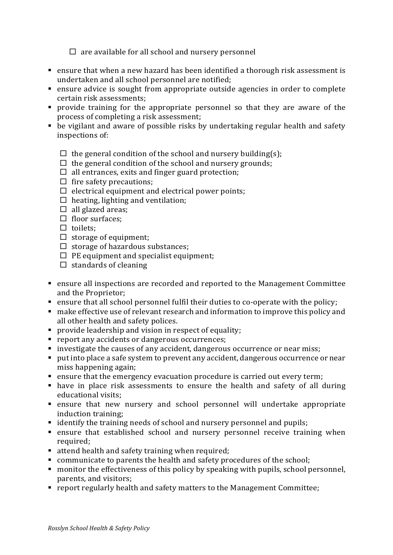$\square$  are available for all school and nursery personnel

- **ensure that when a new hazard has been identified a thorough risk assessment is** undertaken and all school personnel are notified;
- ensure advice is sought from appropriate outside agencies in order to complete certain risk assessments:
- provide training for the appropriate personnel so that they are aware of the process of completing a risk assessment;
- be vigilant and aware of possible risks by undertaking regular health and safety inspections of:
	- $\Box$  the general condition of the school and nursery building(s);
	- $\Box$  the general condition of the school and nursery grounds;
	- $\Box$  all entrances, exits and finger guard protection;
	- $\square$  fire safety precautions;
	- $\Box$  electrical equipment and electrical power points;
	- $\Box$  heating, lighting and ventilation;
	- $\Box$  all glazed areas:
	- $\Box$  floor surfaces:
	- $\square$  toilets:
	- $\Box$  storage of equipment;
	- $\Box$  storage of hazardous substances;
	- $\Box$  PE equipment and specialist equipment;
	- $\square$  standards of cleaning
- ensure all inspections are recorded and reported to the Management Committee and the Proprietor:
- **ensure that all school personnel fulfil their duties to co-operate with the policy;**
- $\blacksquare$  make effective use of relevant research and information to improve this policy and all other health and safety polices.
- **•** provide leadership and vision in respect of equality;
- report any accidents or dangerous occurrences;
- investigate the causes of any accident, dangerous occurrence or near miss;
- put into place a safe system to prevent any accident, dangerous occurrence or near miss happening again;
- ensure that the emergency evacuation procedure is carried out every term;
- have in place risk assessments to ensure the health and safety of all during educational visits:
- ensure that new nursery and school personnel will undertake appropriate induction training;
- $\blacksquare$  identify the training needs of school and nursery personnel and pupils;
- $\blacksquare$  ensure that established school and nursery personnel receive training when required;
- $\blacksquare$  attend health and safety training when required;
- communicate to parents the health and safety procedures of the school;
- $\blacksquare$  monitor the effectiveness of this policy by speaking with pupils, school personnel, parents, and visitors;
- report regularly health and safety matters to the Management Committee;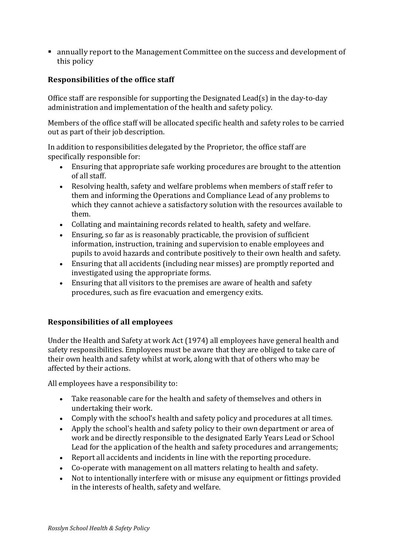■ annually report to the Management Committee on the success and development of this policy

## **Responsibilities of the office staff**

Office staff are responsible for supporting the Designated Lead(s) in the day-to-day administration and implementation of the health and safety policy.

Members of the office staff will be allocated specific health and safety roles to be carried out as part of their job description.

In addition to responsibilities delegated by the Proprietor, the office staff are specifically responsible for:

- Ensuring that appropriate safe working procedures are brought to the attention of all staff.
- Resolving health, safety and welfare problems when members of staff refer to them and informing the Operations and Compliance Lead of any problems to which they cannot achieve a satisfactory solution with the resources available to them.
- Collating and maintaining records related to health, safety and welfare.
- Ensuring, so far as is reasonably practicable, the provision of sufficient information, instruction, training and supervision to enable employees and pupils to avoid hazards and contribute positively to their own health and safety.
- Ensuring that all accidents (including near misses) are promptly reported and investigated using the appropriate forms.
- Ensuring that all visitors to the premises are aware of health and safety procedures, such as fire evacuation and emergency exits.

#### **Responsibilities of all employees**

Under the Health and Safety at work Act (1974) all employees have general health and safety responsibilities. Employees must be aware that they are obliged to take care of their own health and safety whilst at work, along with that of others who may be affected by their actions.

All employees have a responsibility to:

- Take reasonable care for the health and safety of themselves and others in undertaking their work.
- Comply with the school's health and safety policy and procedures at all times.
- Apply the school's health and safety policy to their own department or area of work and be directly responsible to the designated Early Years Lead or School Lead for the application of the health and safety procedures and arrangements;
- Report all accidents and incidents in line with the reporting procedure.
- Co-operate with management on all matters relating to health and safety.
- Not to intentionally interfere with or misuse any equipment or fittings provided in the interests of health, safety and welfare.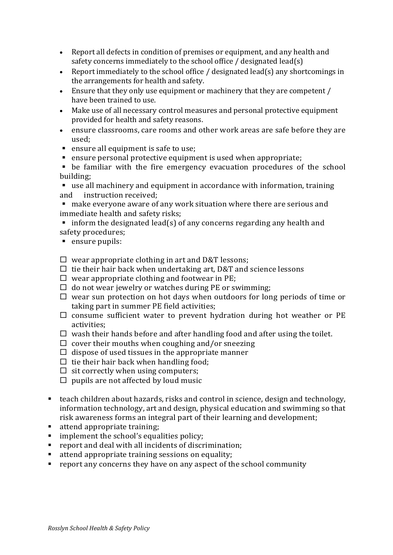- Report all defects in condition of premises or equipment, and any health and safety concerns immediately to the school office  $/$  designated lead(s)
- Report immediately to the school office / designated lead(s) any shortcomings in the arrangements for health and safety.
- Ensure that they only use equipment or machinery that they are competent / have been trained to use.
- Make use of all necessary control measures and personal protective equipment provided for health and safety reasons.
- ensure classrooms, care rooms and other work areas are safe before they are used;
- ensure all equipment is safe to use;
- $\blacksquare$  ensure personal protective equipment is used when appropriate;

 $\bullet$  be familiar with the fire emergency evacuation procedures of the school building; 

**E** use all machinery and equipment in accordance with information, training and instruction received:

■ make everyone aware of any work situation where there are serious and immediate health and safety risks;

- inform the designated lead(s) of any concerns regarding any health and safety procedures;
- ensure pupils:

 $\Box$  wear appropriate clothing in art and D&T lessons;

- $\Box$  tie their hair back when undertaking art, D&T and science lessons
- $\Box$  wear appropriate clothing and footwear in PE;
- $\Box$  do not wear jewelry or watches during PE or swimming;
- $\Box$  wear sun protection on hot days when outdoors for long periods of time or taking part in summer PE field activities;
- $\square$  consume sufficient water to prevent hydration during hot weather or PE activities;
- $\Box$  wash their hands before and after handling food and after using the toilet.
- $\square$  cover their mouths when coughing and/or sneezing
- $\Box$  dispose of used tissues in the appropriate manner
- $\Box$  tie their hair back when handling food;
- $\Box$  sit correctly when using computers;
- $\Box$  pupils are not affected by loud music
- $\blacksquare$  teach children about hazards, risks and control in science, design and technology, information technology, art and design, physical education and swimming so that risk awareness forms an integral part of their learning and development;
- attend appropriate training;
- $\blacksquare$  implement the school's equalities policy;
- $\blacksquare$  report and deal with all incidents of discrimination;
- attend appropriate training sessions on equality;
- $\blacksquare$  report any concerns they have on any aspect of the school community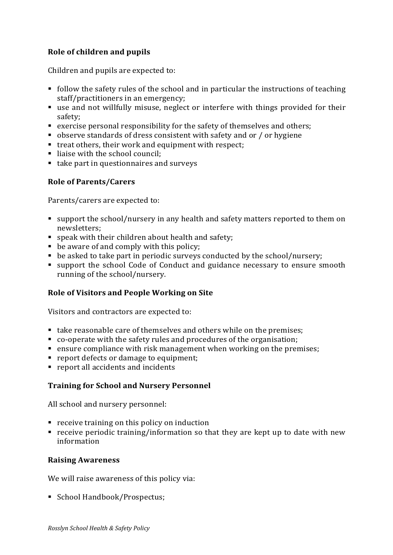# **Role of children and pupils**

Children and pupils are expected to:

- $\blacksquare$  follow the safety rules of the school and in particular the instructions of teaching staff/practitioners in an emergency;
- use and not willfully misuse, neglect or interfere with things provided for their safety;
- exercise personal responsibility for the safety of themselves and others;
- observe standards of dress consistent with safety and or / or hygiene
- $\blacksquare$  treat others, their work and equipment with respect;
- liaise with the school council;
- take part in questionnaires and surveys

# **Role of Parents/Carers**

Parents/carers are expected to:

- support the school/nursery in any health and safety matters reported to them on newsletters;
- **•** speak with their children about health and safety;
- $\blacksquare$  be aware of and comply with this policy;
- $\bullet$  be asked to take part in periodic surveys conducted by the school/nursery;
- support the school Code of Conduct and guidance necessary to ensure smooth running of the school/nursery.

# **Role of Visitors and People Working on Site**

Visitors and contractors are expected to:

- take reasonable care of themselves and others while on the premises;
- co-operate with the safety rules and procedures of the organisation;
- ensure compliance with risk management when working on the premises;
- report defects or damage to equipment;
- report all accidents and incidents

#### **Training for School and Nursery Personnel**

All school and nursery personnel:

- $\blacksquare$  receive training on this policy on induction
- **•** receive periodic training/information so that they are kept up to date with new information

#### **Raising Awareness**

We will raise awareness of this policy via:

■ School Handbook/Prospectus;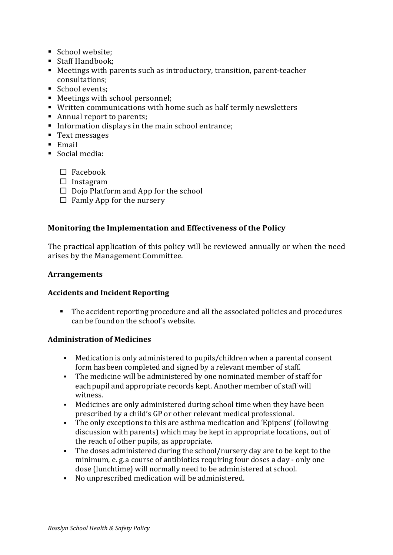- School website:
- Staff Handbook;
- Meetings with parents such as introductory, transition, parent-teacher consultations;
- School events:
- Meetings with school personnel;
- Written communications with home such as half termly newsletters
- Annual report to parents;
- Information displays in the main school entrance;
- Text messages
- Email
- Social media:
	- $\Box$  Facebook
	- $\square$  Instagram
	- $\Box$  Dojo Platform and App for the school
	- $\Box$  Famly App for the nursery

## **Monitoring the Implementation and Effectiveness of the Policy**

The practical application of this policy will be reviewed annually or when the need arises by the Management Committee.

#### **Arrangements**

# **Accidents and Incident Reporting**

• The accident reporting procedure and all the associated policies and procedures can be found on the school's website.

#### **Administration of Medicines**

- Medication is only administered to pupils/children when a parental consent form has been completed and signed by a relevant member of staff.
- The medicine will be administered by one nominated member of staff for each pupil and appropriate records kept. Another member of staff will witness.
- Medicines are only administered during school time when they have been prescribed by a child's GP or other relevant medical professional.
- The only exceptions to this are asthma medication and 'Epipens' (following discussion with parents) which may be kept in appropriate locations, out of the reach of other pupils, as appropriate.
- The doses administered during the school/nursery day are to be kept to the minimum, e. g. a course of antibiotics requiring four doses a day - only one dose (lunchtime) will normally need to be administered at school.
- No unprescribed medication will be administered.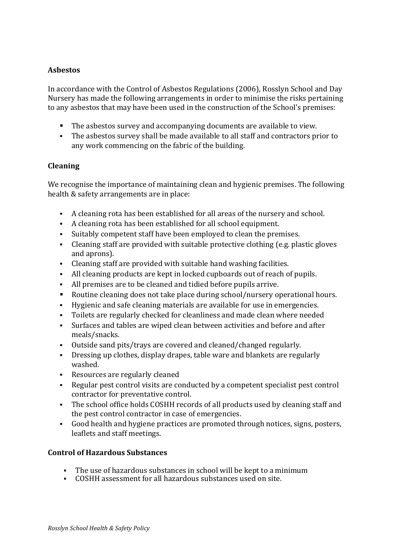## **Asbestos**

In accordance with the Control of Asbestos Regulations (2006), Rosslyn School and Day Nursery has made the following arrangements in order to minimise the risks pertaining to any asbestos that may have been used in the construction of the School's premises:

- The asbestos survey and accompanying documents are available to view.
- The asbestos survey shall be made available to all staff and contractors prior to any work commencing on the fabric of the building.

#### **Cleaning**

We recognise the importance of maintaining clean and hygienic premises. The following health & safety arrangements are in place:

- A cleaning rota has been established for all areas of the nursery and school.
- A cleaning rota has been established for all school equipment.
- Suitably competent staff have been employed to clean the premises.
- Cleaning staff are provided with suitable protective clothing (e.g. plastic gloves and aprons).
- Cleaning staff are provided with suitable hand washing facilities.
- All cleaning products are kept in locked cupboards out of reach of pupils.
- All premises are to be cleaned and tidied before pupils arrive.
- Routine cleaning does not take place during school/nursery operational hours.
- Hygienic and safe cleaning materials are available for use in emergencies.
- Toilets are regularly checked for cleanliness and made clean where needed
- Surfaces and tables are wiped clean between activities and before and after meals/snacks.
- Outside sand pits/trays are covered and cleaned/changed regularly.
- Dressing up clothes, display drapes, table ware and blankets are regularly washed.
- Resources are regularly cleaned
- Regular pest control visits are conducted by a competent specialist pest control contractor for preventative control.
- The school office holds COSHH records of all products used by cleaning staff and the pest control contractor in case of emergencies.
- Good health and hygiene practices are promoted through notices, signs, posters, leaflets and staff meetings.

#### **Control of Hazardous Substances**

- The use of hazardous substances in school will be kept to a minimum
- COSHH assessment for all hazardous substances used on site.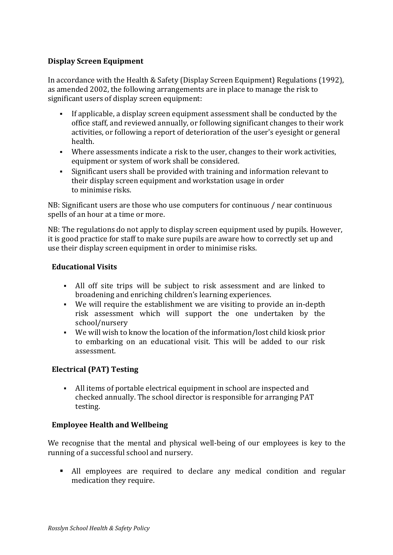## **Display Screen Equipment**

In accordance with the Health & Safety (Display Screen Equipment) Regulations (1992), as amended 2002, the following arrangements are in place to manage the risk to significant users of display screen equipment:

- **•** If applicable, a display screen equipment assessment shall be conducted by the office staff, and reviewed annually, or following significant changes to their work activities, or following a report of deterioration of the user's eyesight or general health.
- Where assessments indicate a risk to the user, changes to their work activities, equipment or system of work shall be considered.
- Significant users shall be provided with training and information relevant to their display screen equipment and workstation usage in order to minimise risks.

NB: Significant users are those who use computers for continuous / near continuous spells of an hour at a time or more.

NB: The regulations do not apply to display screen equipment used by pupils. However, it is good practice for staff to make sure pupils are aware how to correctly set up and use their display screen equipment in order to minimise risks.

#### **Educational Visits**

- All off site trips will be subject to risk assessment and are linked to broadening and enriching children's learning experiences.
- We will require the establishment we are visiting to provide an in-depth risk assessment which will support the one undertaken by the school/nursery
- We will wish to know the location of the information/lost child kiosk prior to embarking on an educational visit. This will be added to our risk assessment.

# **Electrical (PAT) Testing**

• All items of portable electrical equipment in school are inspected and checked annually. The school director is responsible for arranging PAT testing.

# **Employee Health and Wellbeing**

We recognise that the mental and physical well-being of our employees is key to the running of a successful school and nursery.

• All employees are required to declare any medical condition and regular medication they require.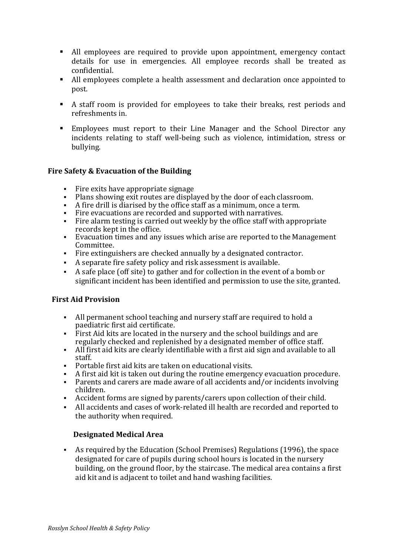- All employees are required to provide upon appointment, emergency contact details for use in emergencies. All employee records shall be treated as confidential.
- All employees complete a health assessment and declaration once appointed to post.
- A staff room is provided for employees to take their breaks, rest periods and refreshments in.
- Employees must report to their Line Manager and the School Director any incidents relating to staff well-being such as violence, intimidation, stress or bullying.

## **Fire Safety & Evacuation of the Building**

- Fire exits have appropriate signage
- Plans showing exit routes are displayed by the door of each classroom.
- A fire drill is diarised by the office staff as a minimum, once a term.
- $\blacksquare$  Fire evacuations are recorded and supported with narratives.
- Fire alarm testing is carried out weekly by the office staff with appropriate records kept in the office.
- Evacuation times and any issues which arise are reported to the Management Committee.
- Fire extinguishers are checked annually by a designated contractor.
- A separate fire safety policy and risk assessment is available.
- A safe place (off site) to gather and for collection in the event of a bomb or significant incident has been identified and permission to use the site, granted.

# **First Aid Provision**

- All permanent school teaching and nursery staff are required to hold a paediatric first aid certificate.
- First Aid kits are located in the nursery and the school buildings and are regularly checked and replenished by a designated member of office staff.
- $\blacksquare$  All first aid kits are clearly identifiable with a first aid sign and available to all staff.
- Portable first aid kits are taken on educational visits.
- A first aid kit is taken out during the routine emergency evacuation procedure.
- Parents and carers are made aware of all accidents and/or incidents involving children.
- Accident forms are signed by parents/carers upon collection of their child.
- All accidents and cases of work-related ill health are recorded and reported to the authority when required.

# **Designated Medical Area**

• As required by the Education (School Premises) Regulations (1996), the space designated for care of pupils during school hours is located in the nursery building, on the ground floor, by the staircase. The medical area contains a first aid kit and is adjacent to toilet and hand washing facilities.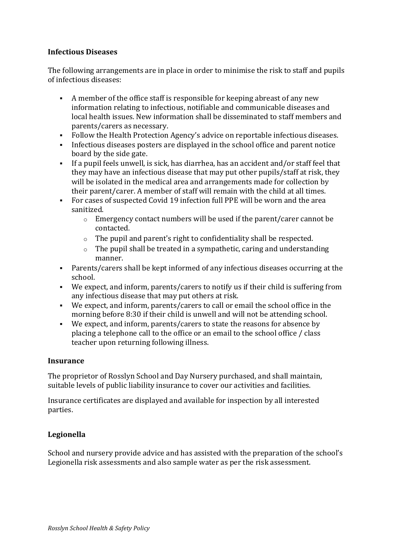#### **Infectious Diseases**

The following arrangements are in place in order to minimise the risk to staff and pupils of infectious diseases:

- A member of the office staff is responsible for keeping abreast of any new information relating to infectious, notifiable and communicable diseases and local health issues. New information shall be disseminated to staff members and parents/carers as necessary.
- Follow the Health Protection Agency's advice on reportable infectious diseases.
- Infectious diseases posters are displayed in the school office and parent notice board by the side gate.
- If a pupil feels unwell, is sick, has diarrhea, has an accident and/or staff feel that they may have an infectious disease that may put other pupils/staff at risk, they will be isolated in the medical area and arrangements made for collection by their parent/carer. A member of staff will remain with the child at all times.
- For cases of suspected Covid 19 infection full PPE will be worn and the area sanitized.
	- $\circ$  Emergency contact numbers will be used if the parent/carer cannot be contacted.
	- $\circ$  The pupil and parent's right to confidentiality shall be respected.
	- $\circ$  The pupil shall be treated in a sympathetic, caring and understanding manner.
- Parents/carers shall be kept informed of any infectious diseases occurring at the school.
- We expect, and inform, parents/carers to notify us if their child is suffering from any infectious disease that may put others at risk.
- We expect, and inform, parents/carers to call or email the school office in the morning before 8:30 if their child is unwell and will not be attending school.
- We expect, and inform, parents/carers to state the reasons for absence by placing a telephone call to the office or an email to the school office / class teacher upon returning following illness.

#### **Insurance**

The proprietor of Rosslyn School and Day Nursery purchased, and shall maintain, suitable levels of public liability insurance to cover our activities and facilities.

Insurance certificates are displayed and available for inspection by all interested parties.

# **Legionella**

School and nursery provide advice and has assisted with the preparation of the school's Legionella risk assessments and also sample water as per the risk assessment.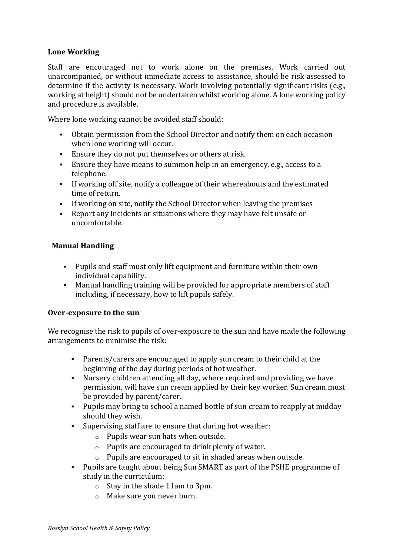## Lone Working

Staff are encouraged not to work alone on the premises. Work carried out unaccompanied, or without immediate access to assistance, should be risk assessed to determine if the activity is necessary. Work involving potentially significant risks (e.g., working at height) should not be undertaken whilst working alone. A lone working policy and procedure is available.

Where lone working cannot be avoided staff should:

- Obtain permission from the School Director and notify them on each occasion when lone working will occur.
- Ensure they do not put themselves or others at risk.
- Ensure they have means to summon help in an emergency, e.g., access to a telephone.
- If working off site, notify a colleague of their whereabouts and the estimated time of return
- If working on site, notify the School Director when leaving the premises
- Report any incidents or situations where they may have felt unsafe or uncomfortable.

#### **Manual Handling**

- Pupils and staff must only lift equipment and furniture within their own individual capability.
- Manual handling training will be provided for appropriate members of staff including, if necessary, how to lift pupils safely.

#### **Over-exposure to the sun**

We recognise the risk to pupils of over-exposure to the sun and have made the following arrangements to minimise the risk:

- Parents/carers are encouraged to apply sun cream to their child at the beginning of the day during periods of hot weather.
- Nursery children attending all day, where required and providing we have permission, will have sun cream applied by their key worker. Sun cream must be provided by parent/carer.
- Pupils may bring to school a named bottle of sun cream to reapply at midday should they wish.
- Supervising staff are to ensure that during hot weather:
	- $\circ$  Pupils wear sun hats when outside.
	- $\circ$  Pupils are encouraged to drink plenty of water.
	- $\circ$  Pupils are encouraged to sit in shaded areas when outside.
- Pupils are taught about being Sun SMART as part of the PSHE programme of study in the curriculum:
	- $\circ$  Stay in the shade 11am to 3pm.
	- $\circ$  Make sure you never burn.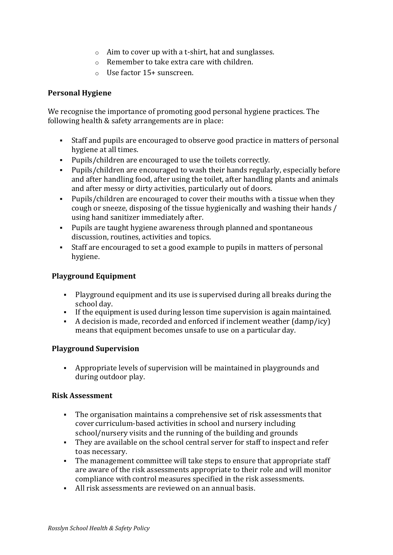- $\circ$  Aim to cover up with a t-shirt, hat and sunglasses.
- $\circ$  Remember to take extra care with children.
- $\circ$  Use factor 15+ sunscreen.

#### **Personal Hygiene**

We recognise the importance of promoting good personal hygiene practices. The following health  $&$  safety arrangements are in place:

- Staff and pupils are encouraged to observe good practice in matters of personal hygiene at all times.
- Pupils/children are encouraged to use the toilets correctly.
- Pupils/children are encouraged to wash their hands regularly, especially before and after handling food, after using the toilet, after handling plants and animals and after messy or dirty activities, particularly out of doors.
- Pupils/children are encouraged to cover their mouths with a tissue when they cough or sneeze, disposing of the tissue hygienically and washing their hands / using hand sanitizer immediately after.
- Pupils are taught hygiene awareness through planned and spontaneous discussion, routines, activities and topics.
- Staff are encouraged to set a good example to pupils in matters of personal hygiene.

## **Playground Equipment**

- § Playground equipment and its use is supervised during all breaks during the school day.
- **•** If the equipment is used during lesson time supervision is again maintained.
- A decision is made, recorded and enforced if inclement weather  $(damp/icv)$ means that equipment becomes unsafe to use on a particular day.

#### **Playground Supervision**

• Appropriate levels of supervision will be maintained in playgrounds and during outdoor play.

#### **Risk Assessment**

- The organisation maintains a comprehensive set of risk assessments that cover curriculum-based activities in school and nursery including school/nursery visits and the running of the building and grounds
- They are available on the school central server for staff to inspect and refer to as necessary.
- The management committee will take steps to ensure that appropriate staff are aware of the risk assessments appropriate to their role and will monitor compliance with control measures specified in the risk assessments.
- $\blacksquare$  All risk assessments are reviewed on an annual basis.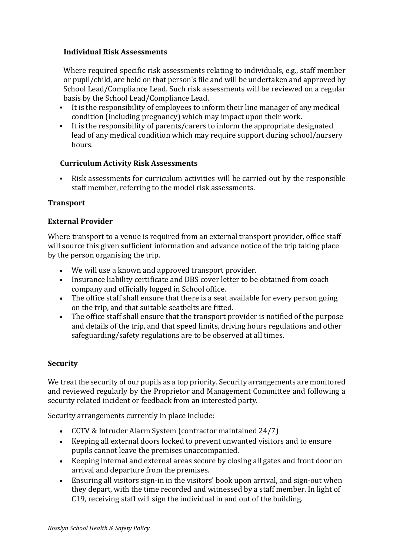#### **Individual Risk Assessments**

Where required specific risk assessments relating to individuals, e.g., staff member or pupil/child, are held on that person's file and will be undertaken and approved by School Lead/Compliance Lead. Such risk assessments will be reviewed on a regular basis by the School Lead/Compliance Lead.

- It is the responsibility of employees to inform their line manager of any medical condition (including pregnancy) which may impact upon their work.
- It is the responsibility of parents/carers to inform the appropriate designated lead of any medical condition which may require support during school/nursery hours.

## **Curriculum Activity Risk Assessments**

Risk assessments for curriculum activities will be carried out by the responsible staff member, referring to the model risk assessments.

## **Transport**

## **External Provider**

Where transport to a venue is required from an external transport provider, office staff will source this given sufficient information and advance notice of the trip taking place by the person organising the trip.

- We will use a known and approved transport provider.
- Insurance liability certificate and DBS cover letter to be obtained from coach company and officially logged in School office.
- The office staff shall ensure that there is a seat available for every person going on the trip, and that suitable seatbelts are fitted.
- The office staff shall ensure that the transport provider is notified of the purpose and details of the trip, and that speed limits, driving hours regulations and other safeguarding/safety regulations are to be observed at all times.

#### **Security**

We treat the security of our pupils as a top priority. Security arrangements are monitored and reviewed regularly by the Proprietor and Management Committee and following a security related incident or feedback from an interested party.

Security arrangements currently in place include:

- CCTV & Intruder Alarm System (contractor maintained 24/7)
- Keeping all external doors locked to prevent unwanted visitors and to ensure pupils cannot leave the premises unaccompanied.
- Keeping internal and external areas secure by closing all gates and front door on arrival and departure from the premises.
- Ensuring all visitors sign-in in the visitors' book upon arrival, and sign-out when they depart, with the time recorded and witnessed by a staff member. In light of C19, receiving staff will sign the individual in and out of the building.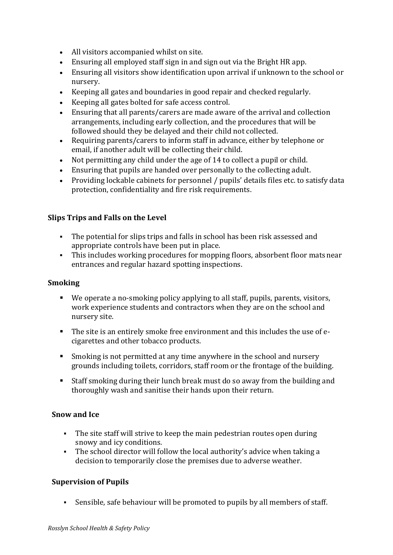- All visitors accompanied whilst on site.
- Ensuring all employed staff sign in and sign out via the Bright HR app.
- Ensuring all visitors show identification upon arrival if unknown to the school or nursery.
- Keeping all gates and boundaries in good repair and checked regularly.
- Keeping all gates bolted for safe access control.
- Ensuring that all parents/carers are made aware of the arrival and collection arrangements, including early collection, and the procedures that will be followed should they be delayed and their child not collected.
- Requiring parents/carers to inform staff in advance, either by telephone or email, if another adult will be collecting their child.
- Not permitting any child under the age of 14 to collect a pupil or child.
- Ensuring that pupils are handed over personally to the collecting adult.
- Providing lockable cabinets for personnel / pupils' details files etc. to satisfy data protection, confidentiality and fire risk requirements.

#### **Slips Trips and Falls on the Level**

- The potential for slips trips and falls in school has been risk assessed and appropriate controls have been put in place.
- This includes working procedures for mopping floors, absorbent floor mats near entrances and regular hazard spotting inspections.

#### **Smoking**

- $\blacksquare$  We operate a no-smoking policy applying to all staff, pupils, parents, visitors, work experience students and contractors when they are on the school and nursery site.
- The site is an entirely smoke free environment and this includes the use of ecigarettes and other tobacco products.
- Smoking is not permitted at any time anywhere in the school and nursery grounds including toilets, corridors, staff room or the frontage of the building.
- Staff smoking during their lunch break must do so away from the building and thoroughly wash and sanitise their hands upon their return.

#### **Snow and Ice**

- The site staff will strive to keep the main pedestrian routes open during snowy and icy conditions.
- The school director will follow the local authority's advice when taking a decision to temporarily close the premises due to adverse weather.

#### **Supervision of Pupils**

• Sensible, safe behaviour will be promoted to pupils by all members of staff.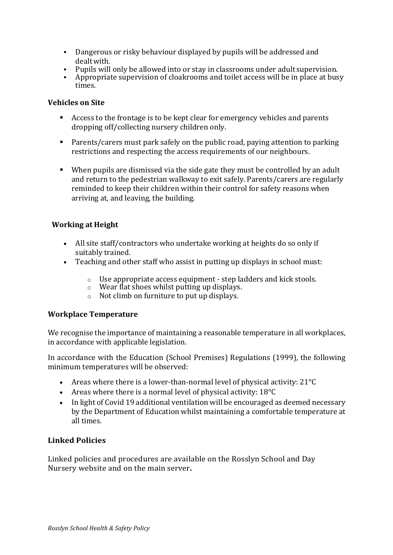- Dangerous or risky behaviour displayed by pupils will be addressed and dealtwith.
- Pupils will only be allowed into or stay in classrooms under adult supervision.
- Appropriate supervision of cloakrooms and toilet access will be in place at busy times.

#### **Vehicles** on Site

- Access to the frontage is to be kept clear for emergency vehicles and parents dropping off/collecting nursery children only.
- Parents/carers must park safely on the public road, paying attention to parking restrictions and respecting the access requirements of our neighbours.
- $\blacksquare$  When pupils are dismissed via the side gate they must be controlled by an adult and return to the pedestrian walkway to exit safely. Parents/carers are regularly reminded to keep their children within their control for safety reasons when arriving at, and leaving, the building.

#### **Working at Height**

- All site staff/contractors who undertake working at heights do so only if suitably trained.
- Teaching and other staff who assist in putting up displays in school must:
	- $\circ$  Use appropriate access equipment step ladders and kick stools.
	- $\circ$  Wear flat shoes whilst putting up displays.
	- $\circ$  Not climb on furniture to put up displays.

#### **Workplace Temperature**

We recognise the importance of maintaining a reasonable temperature in all workplaces, in accordance with applicable legislation.

In accordance with the Education (School Premises) Regulations (1999), the following minimum temperatures will be observed:

- Areas where there is a lower-than-normal level of physical activity:  $21^{\circ}C$
- Areas where there is a normal level of physical activity:  $18^{\circ}$ C
- In light of Covid 19 additional ventilation will be encouraged as deemed necessary by the Department of Education whilst maintaining a comfortable temperature at all times.

#### **Linked Policies**

Linked policies and procedures are available on the Rosslyn School and Day Nursery website and on the main server.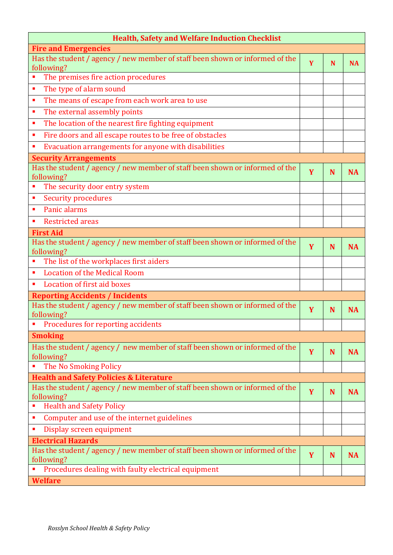| <b>Health, Safety and Welfare Induction Checklist</b>                                      |   |   |           |
|--------------------------------------------------------------------------------------------|---|---|-----------|
| <b>Fire and Emergencies</b>                                                                |   |   |           |
| Has the student / agency / new member of staff been shown or informed of the<br>following? | Y | N | <b>NA</b> |
| The premises fire action procedures                                                        |   |   |           |
| The type of alarm sound<br>Ē,                                                              |   |   |           |
| The means of escape from each work area to use<br>п                                        |   |   |           |
| The external assembly points<br>п                                                          |   |   |           |
| The location of the nearest fire fighting equipment<br>п                                   |   |   |           |
| Fire doors and all escape routes to be free of obstacles<br>E                              |   |   |           |
| Evacuation arrangements for anyone with disabilities<br>٠                                  |   |   |           |
| <b>Security Arrangements</b>                                                               |   |   |           |
| Has the student / agency / new member of staff been shown or informed of the<br>following? | Y | N | <b>NA</b> |
| The security door entry system                                                             |   |   |           |
| <b>Security procedures</b><br>E                                                            |   |   |           |
| Panic alarms<br>٠                                                                          |   |   |           |
| <b>Restricted areas</b><br>п                                                               |   |   |           |
| <b>First Aid</b>                                                                           |   |   |           |
| Has the student / agency / new member of staff been shown or informed of the<br>following? | Y | N | <b>NA</b> |
| The list of the workplaces first aiders<br>п                                               |   |   |           |
| <b>Location of the Medical Room</b><br>×                                                   |   |   |           |
| Location of first aid boxes<br>٠                                                           |   |   |           |
| <b>Reporting Accidents / Incidents</b>                                                     |   |   |           |
| Has the student / agency / new member of staff been shown or informed of the<br>following? | Y | N | <b>NA</b> |
| Procedures for reporting accidents                                                         |   |   |           |
| <b>Smoking</b>                                                                             |   |   |           |
| Has the student / agency / new member of staff been shown or informed of the<br>following? | Y | N | <b>NA</b> |
| The No Smoking Policy                                                                      |   |   |           |
| <b>Health and Safety Policies &amp; Literature</b>                                         |   |   |           |
| Has the student / agency / new member of staff been shown or informed of the               | Y | N | <b>NA</b> |
| following?                                                                                 |   |   |           |
| <b>Health and Safety Policy</b><br>П                                                       |   |   |           |
| Computer and use of the internet guidelines<br>п                                           |   |   |           |
| Display screen equipment                                                                   |   |   |           |
| <b>Electrical Hazards</b>                                                                  |   |   |           |
| Has the student / agency / new member of staff been shown or informed of the<br>following? | Y | N | <b>NA</b> |
| Procedures dealing with faulty electrical equipment                                        |   |   |           |
| <b>Welfare</b>                                                                             |   |   |           |